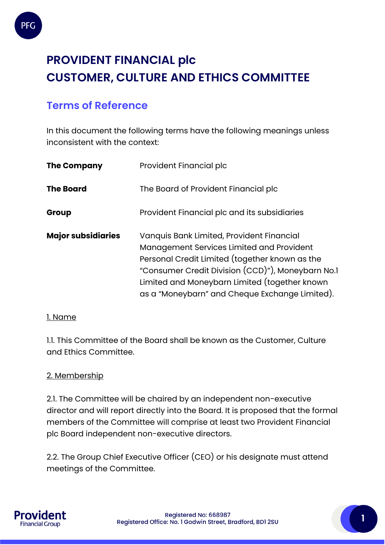

# **PROVIDENT FINANCIAL plc CUSTOMER, CULTURE AND ETHICS COMMITTEE**

# **Terms of Reference**

In this document the following terms have the following meanings unless inconsistent with the context:

| <b>The Company</b>        | Provident Financial plc                                                                                                                                                                                                                                                                          |  |  |
|---------------------------|--------------------------------------------------------------------------------------------------------------------------------------------------------------------------------------------------------------------------------------------------------------------------------------------------|--|--|
| <b>The Board</b>          | The Board of Provident Financial plc                                                                                                                                                                                                                                                             |  |  |
| Group                     | Provident Financial plc and its subsidiaries                                                                                                                                                                                                                                                     |  |  |
| <b>Major subsidiaries</b> | Vanquis Bank Limited, Provident Financial<br>Management Services Limited and Provident<br>Personal Credit Limited (together known as the<br>"Consumer Credit Division (CCD)"), Moneybarn No.1<br>Limited and Moneybarn Limited (together known<br>as a "Moneybarn" and Cheque Exchange Limited). |  |  |

# 1. Name

1.1. This Committee of the Board shall be known as the Customer, Culture and Ethics Committee.

# 2. Membership

2.1. The Committee will be chaired by an independent non-executive director and will report directly into the Board. It is proposed that the formal members of the Committee will comprise at least two Provident Financial plc Board independent non-executive directors.

2.2. The Group Chief Executive Officer (CEO) or his designate must attend meetings of the Committee.

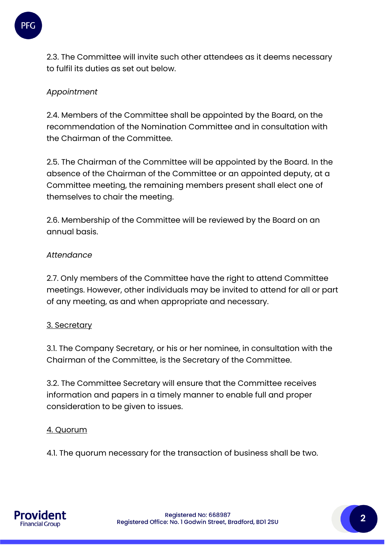

2.3. The Committee will invite such other attendees as it deems necessary to fulfil its duties as set out below.

# *Appointment*

2.4. Members of the Committee shall be appointed by the Board, on the recommendation of the Nomination Committee and in consultation with the Chairman of the Committee.

2.5. The Chairman of the Committee will be appointed by the Board. In the absence of the Chairman of the Committee or an appointed deputy, at a Committee meeting, the remaining members present shall elect one of themselves to chair the meeting.

2.6. Membership of the Committee will be reviewed by the Board on an annual basis.

#### *Attendance*

2.7. Only members of the Committee have the right to attend Committee meetings. However, other individuals may be invited to attend for all or part of any meeting, as and when appropriate and necessary.

# 3. Secretary

3.1. The Company Secretary, or his or her nominee, in consultation with the Chairman of the Committee, is the Secretary of the Committee.

3.2. The Committee Secretary will ensure that the Committee receives information and papers in a timely manner to enable full and proper consideration to be given to issues.

# 4. Quorum

4.1. The quorum necessary for the transaction of business shall be two.



Registered No: 668987 Registered Office: No. 1 Godwin Street, Bradford, BD1 2SU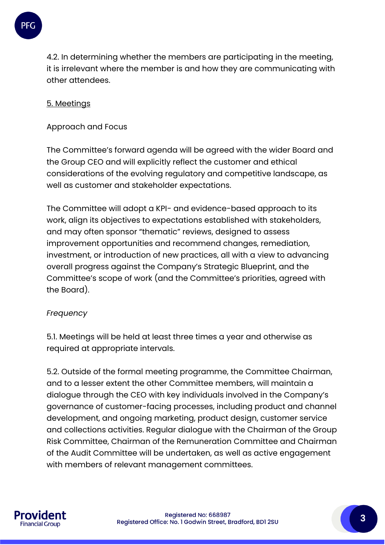

4.2. In determining whether the members are participating in the meeting, it is irrelevant where the member is and how they are communicating with other attendees.

# 5. Meetings

Approach and Focus

The Committee's forward agenda will be agreed with the wider Board and the Group CEO and will explicitly reflect the customer and ethical considerations of the evolving regulatory and competitive landscape, as well as customer and stakeholder expectations.

The Committee will adopt a KPI- and evidence-based approach to its work, align its objectives to expectations established with stakeholders, and may often sponsor "thematic" reviews, designed to assess improvement opportunities and recommend changes, remediation, investment, or introduction of new practices, all with a view to advancing overall progress against the Company's Strategic Blueprint, and the Committee's scope of work (and the Committee's priorities, agreed with the Board).

# *Frequency*

5.1. Meetings will be held at least three times a year and otherwise as required at appropriate intervals.

5.2. Outside of the formal meeting programme, the Committee Chairman, and to a lesser extent the other Committee members, will maintain a dialogue through the CEO with key individuals involved in the Company's governance of customer-facing processes, including product and channel development, and ongoing marketing, product design, customer service and collections activities. Regular dialogue with the Chairman of the Group Risk Committee, Chairman of the Remuneration Committee and Chairman of the Audit Committee will be undertaken, as well as active engagement with members of relevant management committees.

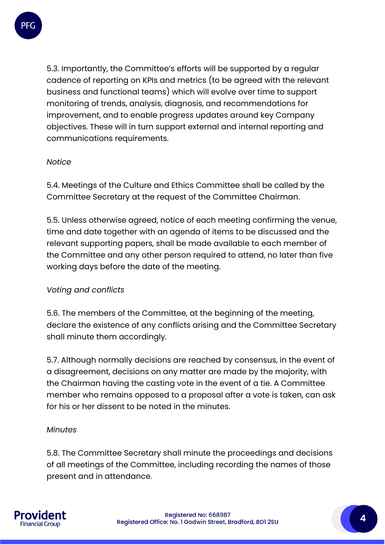

5.3. Importantly, the Committee's efforts will be supported by a regular cadence of reporting on KPIs and metrics (to be agreed with the relevant business and functional teams) which will evolve over time to support monitoring of trends, analysis, diagnosis, and recommendations for improvement, and to enable progress updates around key Company objectives. These will in turn support external and internal reporting and communications requirements.

# *Notice*

5.4. Meetings of the Culture and Ethics Committee shall be called by the Committee Secretary at the request of the Committee Chairman.

5.5. Unless otherwise agreed, notice of each meeting confirming the venue, time and date together with an agenda of items to be discussed and the relevant supporting papers, shall be made available to each member of the Committee and any other person required to attend, no later than five working days before the date of the meeting.

#### *Voting and conflicts*

5.6. The members of the Committee, at the beginning of the meeting, declare the existence of any conflicts arising and the Committee Secretary shall minute them accordingly.

5.7. Although normally decisions are reached by consensus, in the event of a disagreement, decisions on any matter are made by the majority, with the Chairman having the casting vote in the event of a tie. A Committee member who remains opposed to a proposal after a vote is taken, can ask for his or her dissent to be noted in the minutes.

#### *Minutes*

5.8. The Committee Secretary shall minute the proceedings and decisions of all meetings of the Committee, including recording the names of those present and in attendance.

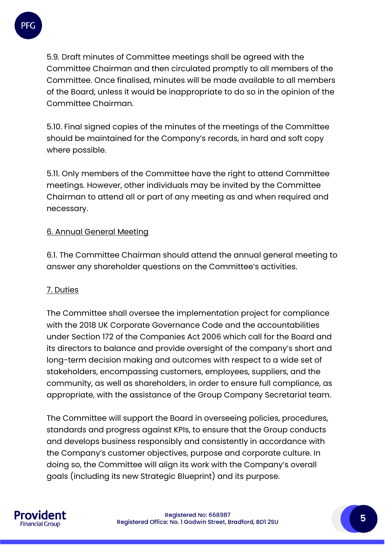

5.9. Draft minutes of Committee meetings shall be agreed with the Committee Chairman and then circulated promptly to all members of the Committee. Once finalised, minutes will be made available to all members of the Board, unless it would be inappropriate to do so in the opinion of the Committee Chairman.

5.10. Final signed copies of the minutes of the meetings of the Committee should be maintained for the Company's records, in hard and soft copy where possible.

5.11. Only members of the Committee have the right to attend Committee meetings. However, other individuals may be invited by the Committee Chairman to attend all or part of any meeting as and when required and necessary.

# 6. Annual General Meeting

6.1. The Committee Chairman should attend the annual general meeting to answer any shareholder questions on the Committee's activities.

#### 7. Duties

The Committee shall oversee the implementation project for compliance with the 2018 UK Corporate Governance Code and the accountabilities under Section 172 of the Companies Act 2006 which call for the Board and its directors to balance and provide oversight of the company's short and long-term decision making and outcomes with respect to a wide set of stakeholders, encompassing customers, employees, suppliers, and the community, as well as shareholders, in order to ensure full compliance, as appropriate, with the assistance of the Group Company Secretarial team.

The Committee will support the Board in overseeing policies, procedures, standards and progress against KPIs, to ensure that the Group conducts and develops business responsibly and consistently in accordance with the Company's customer objectives, purpose and corporate culture. In doing so, the Committee will align its work with the Company's overall goals (including its new Strategic Blueprint) and its purpose.

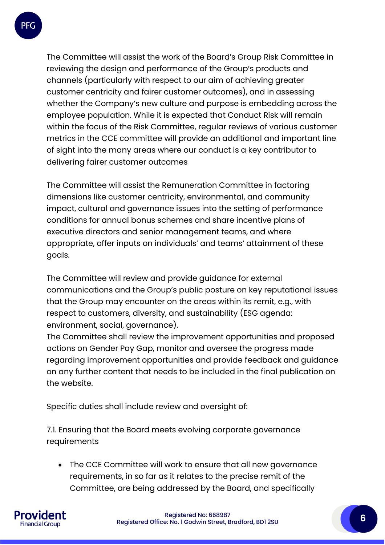

The Committee will assist the work of the Board's Group Risk Committee in reviewing the design and performance of the Group's products and channels (particularly with respect to our aim of achieving greater customer centricity and fairer customer outcomes), and in assessing whether the Company's new culture and purpose is embedding across the employee population. While it is expected that Conduct Risk will remain within the focus of the Risk Committee, regular reviews of various customer metrics in the CCE committee will provide an additional and important line of sight into the many areas where our conduct is a key contributor to delivering fairer customer outcomes

The Committee will assist the Remuneration Committee in factoring dimensions like customer centricity, environmental, and community impact, cultural and governance issues into the setting of performance conditions for annual bonus schemes and share incentive plans of executive directors and senior management teams, and where appropriate, offer inputs on individuals' and teams' attainment of these goals.

The Committee will review and provide guidance for external communications and the Group's public posture on key reputational issues that the Group may encounter on the areas within its remit, e.g., with respect to customers, diversity, and sustainability (ESG agenda: environment, social, governance).

The Committee shall review the improvement opportunities and proposed actions on Gender Pay Gap, monitor and oversee the progress made regarding improvement opportunities and provide feedback and guidance on any further content that needs to be included in the final publication on the website.

Specific duties shall include review and oversight of:

7.1. Ensuring that the Board meets evolving corporate governance requirements

• The CCE Committee will work to ensure that all new governance requirements, in so far as it relates to the precise remit of the Committee, are being addressed by the Board, and specifically

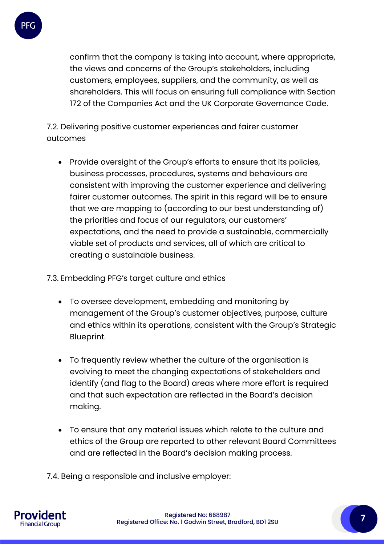

confirm that the company is taking into account, where appropriate, the views and concerns of the Group's stakeholders, including customers, employees, suppliers, and the community, as well as shareholders. This will focus on ensuring full compliance with Section 172 of the Companies Act and the UK Corporate Governance Code.

7.2. Delivering positive customer experiences and fairer customer outcomes

• Provide oversight of the Group's efforts to ensure that its policies, business processes, procedures, systems and behaviours are consistent with improving the customer experience and delivering fairer customer outcomes. The spirit in this regard will be to ensure that we are mapping to (according to our best understanding of) the priorities and focus of our regulators, our customers' expectations, and the need to provide a sustainable, commercially viable set of products and services, all of which are critical to creating a sustainable business.

7.3. Embedding PFG's target culture and ethics

- To oversee development, embedding and monitoring by management of the Group's customer objectives, purpose, culture and ethics within its operations, consistent with the Group's Strategic Blueprint.
- To frequently review whether the culture of the organisation is evolving to meet the changing expectations of stakeholders and identify (and flag to the Board) areas where more effort is required and that such expectation are reflected in the Board's decision making.
- To ensure that any material issues which relate to the culture and ethics of the Group are reported to other relevant Board Committees and are reflected in the Board's decision making process.

7.4. Being a responsible and inclusive employer:

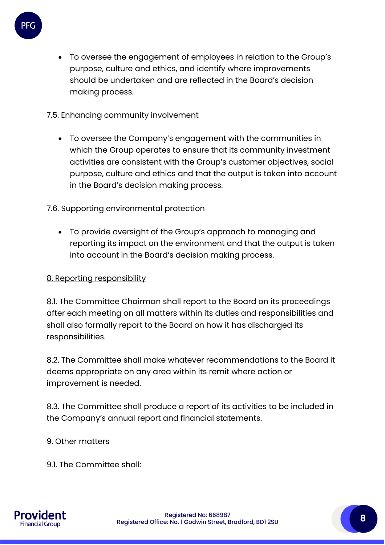

• To oversee the engagement of employees in relation to the Group's purpose, culture and ethics, and identify where improvements should be undertaken and are reflected in the Board's decision making process.

7.5. Enhancing community involvement

• To oversee the Company's engagement with the communities in which the Group operates to ensure that its community investment activities are consistent with the Group's customer objectives, social purpose, culture and ethics and that the output is taken into account in the Board's decision making process.

7.6. Supporting environmental protection

• To provide oversight of the Group's approach to managing and reporting its impact on the environment and that the output is taken into account in the Board's decision making process.

# 8. Reporting responsibility

8.1. The Committee Chairman shall report to the Board on its proceedings after each meeting on all matters within its duties and responsibilities and shall also formally report to the Board on how it has discharged its responsibilities.

8.2. The Committee shall make whatever recommendations to the Board it deems appropriate on any area within its remit where action or improvement is needed.

8.3. The Committee shall produce a report of its activities to be included in the Company's annual report and financial statements.

#### 9. Other matters

9.1. The Committee shall:

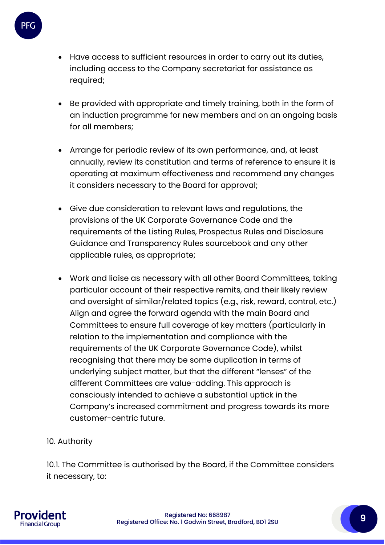

- Have access to sufficient resources in order to carry out its duties, including access to the Company secretariat for assistance as required;
- Be provided with appropriate and timely training, both in the form of an induction programme for new members and on an ongoing basis for all members;
- Arrange for periodic review of its own performance, and, at least annually, review its constitution and terms of reference to ensure it is operating at maximum effectiveness and recommend any changes it considers necessary to the Board for approval;
- Give due consideration to relevant laws and regulations, the provisions of the UK Corporate Governance Code and the requirements of the Listing Rules, Prospectus Rules and Disclosure Guidance and Transparency Rules sourcebook and any other applicable rules, as appropriate;
- Work and liaise as necessary with all other Board Committees, taking particular account of their respective remits, and their likely review and oversight of similar/related topics (e.g., risk, reward, control, etc.) Align and agree the forward agenda with the main Board and Committees to ensure full coverage of key matters (particularly in relation to the implementation and compliance with the requirements of the UK Corporate Governance Code), whilst recognising that there may be some duplication in terms of underlying subject matter, but that the different "lenses" of the different Committees are value-adding. This approach is consciously intended to achieve a substantial uptick in the Company's increased commitment and progress towards its more customer-centric future.

# 10. Authority

10.1. The Committee is authorised by the Board, if the Committee considers it necessary, to: